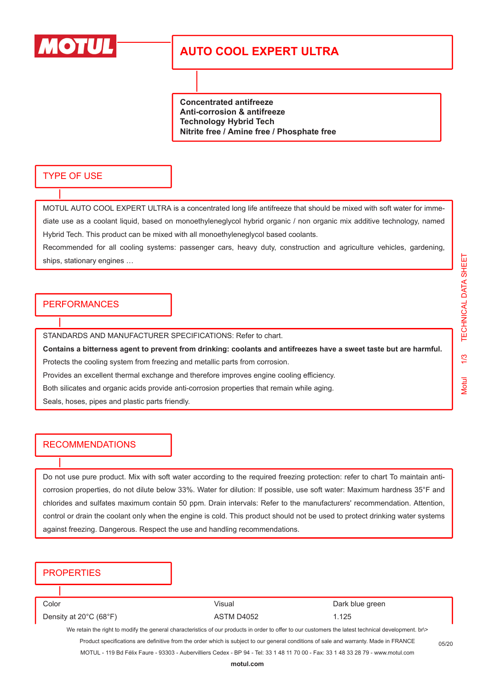

# **AUTO COOL EXPERT ULTRA**

**Concentrated antifreeze Anti-corrosion & antifreeze Technology Hybrid Tech Nitrite free / Amine free / Phosphate free**

#### TYPE OF USE

MOTUL AUTO COOL EXPERT ULTRA is a concentrated long life antifreeze that should be mixed with soft water for immediate use as a coolant liquid, based on monoethyleneglycol hybrid organic / non organic mix additive technology, named Hybrid Tech. This product can be mixed with all monoethyleneglycol based coolants.

Recommended for all cooling systems: passenger cars, heavy duty, construction and agriculture vehicles, gardening, ships, stationary engines …

### PERFORMANCES

STANDARDS AND MANUFACTURER SPECIFICATIONS: Refer to chart.

**Contains a bitterness agent to prevent from drinking: coolants and antifreezes have a sweet taste but are harmful.** Protects the cooling system from freezing and metallic parts from corrosion.

Provides an excellent thermal exchange and therefore improves engine cooling efficiency.

Both silicates and organic acids provide anti-corrosion properties that remain while aging.

Seals, hoses, pipes and plastic parts friendly.

### RECOMMENDATIONS

Do not use pure product. Mix with soft water according to the required freezing protection: refer to chart To maintain anticorrosion properties, do not dilute below 33%. Water for dilution: If possible, use soft water: Maximum hardness 35°F and chlorides and sulfates maximum contain 50 ppm. Drain intervals: Refer to the manufacturers' recommendation. Attention, control or drain the coolant only when the engine is cold. This product should not be used to protect drinking water systems against freezing. Dangerous. Respect the use and handling recommendations.

### **PROPERTIES**

Color Color Color Color Color Color Color Color Color Color Color Color Color Color Color Color Color Color Color Color Color Color Color Color Color Color Color Color Color Color Color Color Color Color Color Color Color Density at 20°C (68°F)  $\overline{AB}$  ASTM D4052 1.125 We retain the right to modify the general characteristics of our products in order to offer to our customers the latest technical development. br\> Product specifications are definitive from the order which is subject to our general conditions of sale and warranty. Made in FRANCE MOTUL - 119 Bd Félix Faure - 93303 - Aubervilliers Cedex - BP 94 - Tel: 33 1 48 11 70 00 - Fax: 33 1 48 33 28 79 - www.motul.com 05/20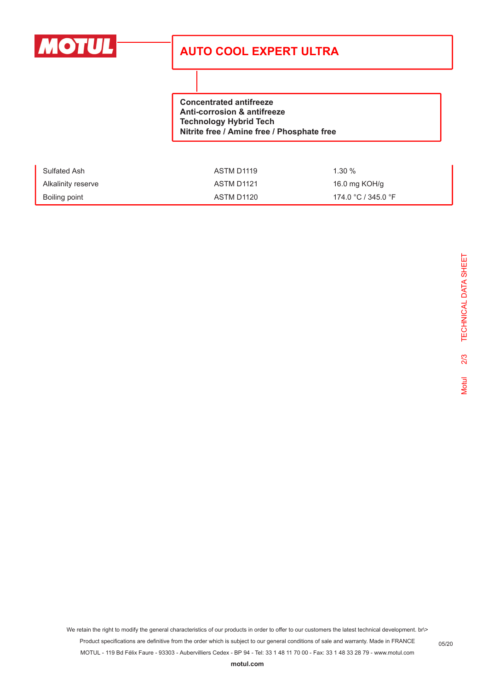

# **AUTO COOL EXPERT ULTRA**

**Concentrated antifreeze Anti-corrosion & antifreeze Technology Hybrid Tech Nitrite free / Amine free / Phosphate free**

| Sulfated Ash       | ASTM D1119 | $1.30 \%$           |
|--------------------|------------|---------------------|
| Alkalinity reserve | ASTM D1121 | 16.0 mg KOH/g       |
| Boiling point      | ASTM D1120 | 174.0 °C / 345.0 °F |

We retain the right to modify the general characteristics of our products in order to offer to our customers the latest technical development. br\> Product specifications are definitive from the order which is subject to our general conditions of sale and warranty. Made in FRANCE MOTUL - 119 Bd Félix Faure - 93303 - Aubervilliers Cedex - BP 94 - Tel: 33 1 48 11 70 00 - Fax: 33 1 48 33 28 79 - www.motul.com

05/20